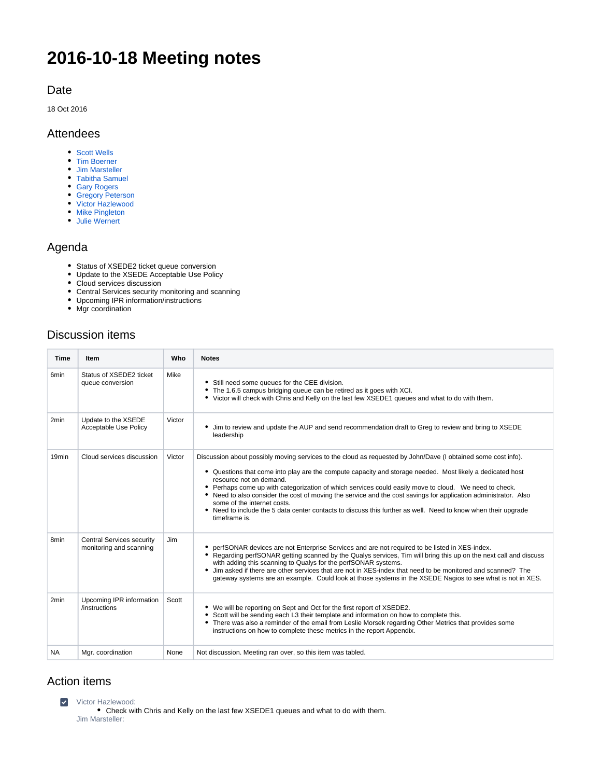# **2016-10-18 Meeting notes**

#### Date

18 Oct 2016

#### Attendees

- [Scott Wells](https://confluence.xsede.org/display/~swells)
- [Tim Boerner](https://confluence.xsede.org/display/~tboerner)
- [Jim Marsteller](https://confluence.xsede.org/display/~jam)
- [Tabitha Samuel](https://confluence.xsede.org/display/~tsamuel)
- [Gary Rogers](https://confluence.xsede.org/display/~grogers)
- [Gregory Peterson](https://confluence.xsede.org/display/~gdp) [Victor Hazlewood](https://confluence.xsede.org/display/~victorh)
- [Mike Pingleton](https://confluence.xsede.org/display/~pingleto)
- [Julie Wernert](https://confluence.xsede.org/display/~jwernert)

### Agenda

- Status of XSEDE2 ticket queue conversion
- Update to the XSEDE Acceptable Use Policy
- Cloud services discussion
- Central Services security monitoring and scanning
- Upcoming IPR information/instructions
- Mgr coordination

# Discussion items

| Time              | <b>Item</b>                                                 | Who    | <b>Notes</b>                                                                                                                                                                                                                                                                                                                                                                                                                                                                                                                                                                                                                                       |
|-------------------|-------------------------------------------------------------|--------|----------------------------------------------------------------------------------------------------------------------------------------------------------------------------------------------------------------------------------------------------------------------------------------------------------------------------------------------------------------------------------------------------------------------------------------------------------------------------------------------------------------------------------------------------------------------------------------------------------------------------------------------------|
| 6 <sub>min</sub>  | Status of XSEDE2 ticket<br>queue conversion                 | Mike   | • Still need some queues for the CEE division.<br>The 1.6.5 campus bridging queue can be retired as it goes with XCI.<br>$\bullet$<br>• Victor will check with Chris and Kelly on the last few XSEDE1 queues and what to do with them.                                                                                                                                                                                                                                                                                                                                                                                                             |
| 2min              | Update to the XSEDE<br>Acceptable Use Policy                | Victor | • Jim to review and update the AUP and send recommendation draft to Greq to review and bring to XSEDE<br>leadership                                                                                                                                                                                                                                                                                                                                                                                                                                                                                                                                |
| 19 <sub>min</sub> | Cloud services discussion                                   | Victor | Discussion about possibly moving services to the cloud as requested by John/Dave (I obtained some cost info).<br>• Questions that come into play are the compute capacity and storage needed. Most likely a dedicated host<br>resource not on demand.<br>• Perhaps come up with categorization of which services could easily move to cloud. We need to check.<br>• Need to also consider the cost of moving the service and the cost savings for application administrator. Also<br>some of the internet costs.<br>• Need to include the 5 data center contacts to discuss this further as well. Need to know when their upgrade<br>timeframe is. |
| 8 <sub>min</sub>  | <b>Central Services security</b><br>monitoring and scanning | Jim    | perfSONAR devices are not Enterprise Services and are not required to be listed in XES-index.<br>• Regarding perfSONAR getting scanned by the Qualys services, Tim will bring this up on the next call and discuss<br>with adding this scanning to Qualys for the perfSONAR systems.<br>• Jim asked if there are other services that are not in XES-index that need to be monitored and scanned? The<br>gateway systems are an example. Could look at those systems in the XSEDE Nagios to see what is not in XES.                                                                                                                                 |
| 2min              | Upcoming IPR information<br>/instructions                   | Scott  | • We will be reporting on Sept and Oct for the first report of XSEDE2.<br>Scott will be sending each L3 their template and information on how to complete this.<br>There was also a reminder of the email from Leslie Morsek regarding Other Metrics that provides some<br>instructions on how to complete these metrics in the report Appendix.                                                                                                                                                                                                                                                                                                   |
| <b>NA</b>         | Mgr. coordination                                           | None   | Not discussion. Meeting ran over, so this item was tabled.                                                                                                                                                                                                                                                                                                                                                                                                                                                                                                                                                                                         |

## Action items

**[Victor Hazlewood](https://confluence.xsede.org/display/~victorh):** Check with Chris and Kelly on the last few XSEDE1 queues and what to do with them. [Jim Marsteller:](https://confluence.xsede.org/display/~jam)